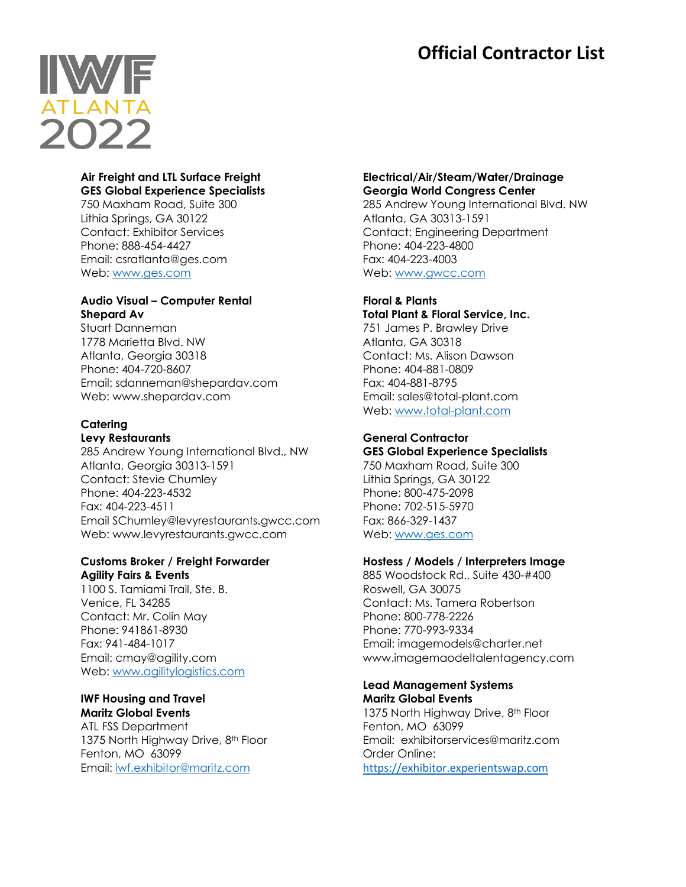# **Official Contractor List**



#### **Air Freight and LTL Surface Freight GES Global Experience Specialists**

750 Maxham Road, Suite 300 Lithia Springs, GA 30122 Contact: Exhibitor Services Phone: 888-454-4427 Email: csratlanta@ges.com Web: [www.ges.com](http://www.ges.com/)

# **Audio Visual – Computer Rental Shepard Av**

Stuart Danneman 1778 Marietta Blvd. NW Atlanta, Georgia 30318 Phone: 404-720-8607 Email: sdanneman@shepardav.com Web: www.shepardav.com

#### **Catering Levy Restaurants**

285 Andrew Young International Blvd., NW Atlanta, Georgia 30313-1591 Contact: Stevie Chumley Phone: 404-223-4532 Fax: 404-223-4511 Email SChumley@levyrestaurants.gwcc.com Web: www.levyrestaurants.gwcc.com

## **Customs Broker / Freight Forwarder Agility Fairs & Events**

1100 S. Tamiami Trail, Ste. B. Venice, FL 34285 Contact: Mr. Colin May Phone: 941861-8930 Fax: 941-484-1017 Email: cmay@agility.com Web: [www.agilitylogistics.com](http://www.agilitylogistics.com/)

#### **IWF Housing and Travel Maritz Global Events**

ATL FSS Department 1375 North Highway Drive, 8<sup>th</sup> Floor Fenton, MO 63099 Email: [iwf.exhibitor@maritz.com](mailto:iwf.exhibitor@maritz.com)

## **Electrical/Air/Steam/Water/Drainage Georgia World Congress Center**

285 Andrew Young International Blvd. NW Atlanta, GA 30313-1591 Contact: Engineering Department Phone: 404-223-4800 Fax: 404-223-4003 Web: [www.gwcc.com](http://www.gwcc.com/)

#### **Floral & Plants Total Plant & Floral Service, Inc.**

751 James P. Brawley Drive Atlanta, GA 30318 Contact: Ms. Alison Dawson Phone: 404-881-0809 Fax: 404-881-8795 Email: sales@total-plant.com Web: [www.total-plant.com](http://www.total-plant.com/)

# **General Contractor**

**GES Global Experience Specialists**

750 Maxham Road, Suite 300 Lithia Springs, GA 30122 Phone: 800-475-2098 Phone: 702-515-5970 Fax: 866-329-1437 Web: [www.ges.com](http://www.ges.com/)

# **Hostess / Models / Interpreters Image**

885 Woodstock Rd., Suite 430-#400 Roswell, GA 30075 Contact: Ms. Tamera Robertson Phone: 800-778-2226 Phone: 770-993-9334 Email: imagemodels@charter.net www.imagemaodeltalentagency.com

## **Lead Management Systems Maritz Global Events**

1375 North Highway Drive, 8<sup>th</sup> Floor Fenton, MO 63099 Email: exhibitorservices@maritz.com Order Online: [https://exhibitor.experientswap.com](https://nam11.safelinks.protection.outlook.com/?url=https%3A%2F%2Fexhibitor.experientswap.com%2F&data=04%7C01%7CMallory.White%40maritz.com%7Cc4e8b42433894704d47e08d9786ff0c8%7C6cf8654c45df474480e53c1656731b8e%7C0%7C0%7C637673244453280680%7CUnknown%7CTWFpbGZsb3d8eyJWIjoiMC4wLjAwMDAiLCJQIjoiV2luMzIiLCJBTiI6Ik1haWwiLCJXVCI6Mn0%3D%7C1000&sdata=L55UcJgsoB1sqgwAV6QTmKsWIJR8elgWLFy4sIFxP8Q%3D&reserved=0)